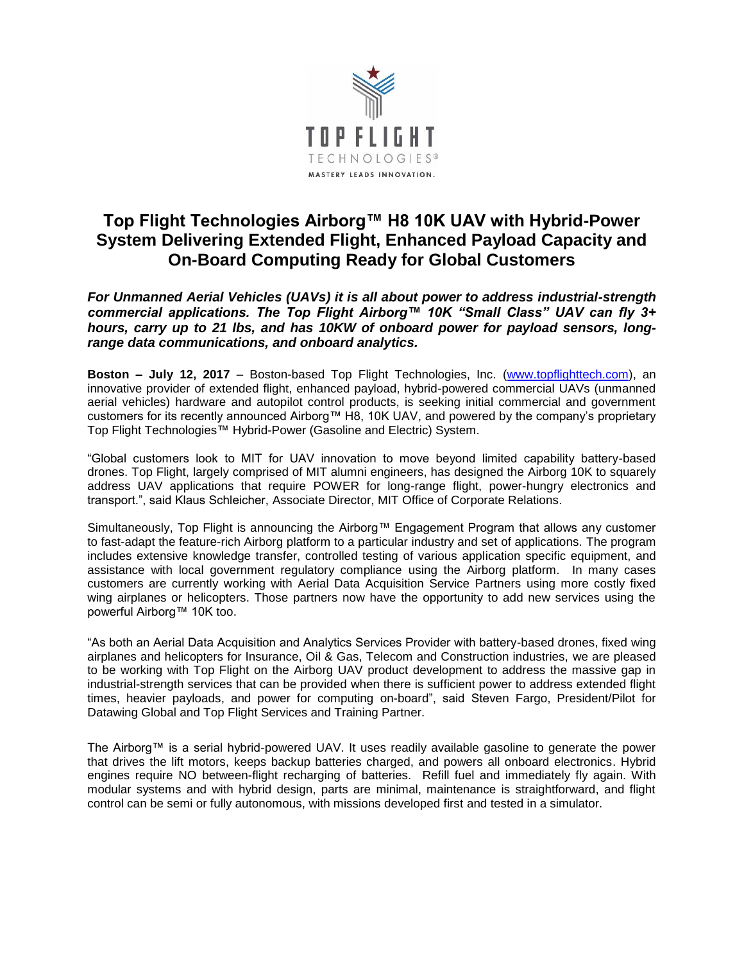

## **Top Flight Technologies Airborg™ H8 10K UAV with Hybrid-Power System Delivering Extended Flight, Enhanced Payload Capacity and On-Board Computing Ready for Global Customers**

*For Unmanned Aerial Vehicles (UAVs) it is all about power to address industrial-strength commercial applications. The Top Flight Airborg™ 10K "Small Class" UAV can fly 3+ hours, carry up to 21 lbs, and has 10KW of onboard power for payload sensors, longrange data communications, and onboard analytics.*

**Boston – July 12, 2017** – Boston-based Top Flight Technologies, Inc. [\(www.topflighttech.com\)](http://www.topflighttech.com/), an innovative provider of extended flight, enhanced payload, hybrid-powered commercial UAVs (unmanned aerial vehicles) hardware and autopilot control products, is seeking initial commercial and government customers for its recently announced Airborg™ H8, 10K UAV, and powered by the company's proprietary Top Flight Technologies™ Hybrid-Power (Gasoline and Electric) System.

"Global customers look to MIT for UAV innovation to move beyond limited capability battery-based drones. Top Flight, largely comprised of MIT alumni engineers, has designed the Airborg 10K to squarely address UAV applications that require POWER for long-range flight, power-hungry electronics and transport.", said Klaus Schleicher, Associate Director, MIT Office of Corporate Relations.

Simultaneously, Top Flight is announcing the Airborg™ Engagement Program that allows any customer to fast-adapt the feature-rich Airborg platform to a particular industry and set of applications. The program includes extensive knowledge transfer, controlled testing of various application specific equipment, and assistance with local government regulatory compliance using the Airborg platform. In many cases customers are currently working with Aerial Data Acquisition Service Partners using more costly fixed wing airplanes or helicopters. Those partners now have the opportunity to add new services using the powerful Airborg™ 10K too.

"As both an Aerial Data Acquisition and Analytics Services Provider with battery-based drones, fixed wing airplanes and helicopters for Insurance, Oil & Gas, Telecom and Construction industries, we are pleased to be working with Top Flight on the Airborg UAV product development to address the massive gap in industrial-strength services that can be provided when there is sufficient power to address extended flight times, heavier payloads, and power for computing on-board", said Steven Fargo, President/Pilot for Datawing Global and Top Flight Services and Training Partner.

The Airborg™ is a serial hybrid-powered UAV. It uses readily available gasoline to generate the power that drives the lift motors, keeps backup batteries charged, and powers all onboard electronics. Hybrid engines require NO between-flight recharging of batteries. Refill fuel and immediately fly again. With modular systems and with hybrid design, parts are minimal, maintenance is straightforward, and flight control can be semi or fully autonomous, with missions developed first and tested in a simulator.